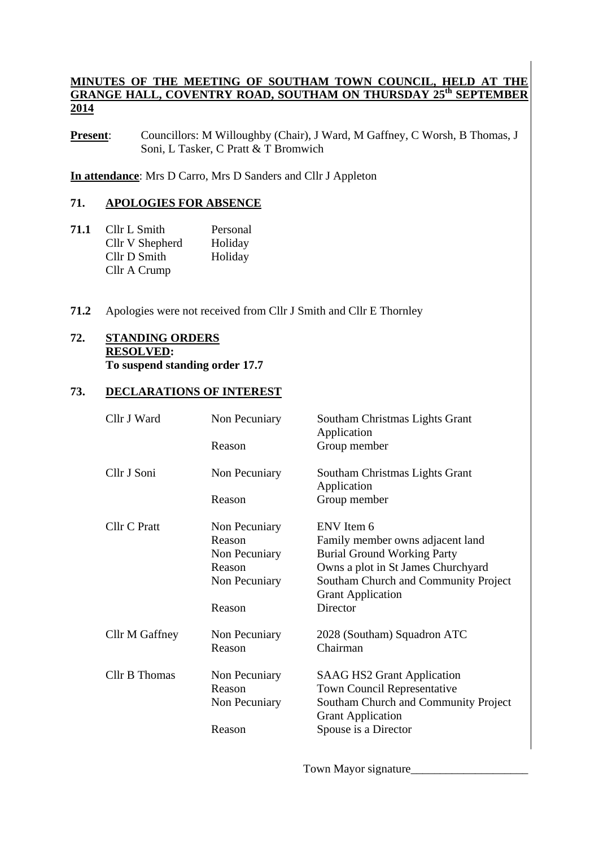#### **MINUTES OF THE MEETING OF SOUTHAM TOWN COUNCIL, HELD AT THE GRANGE HALL, COVENTRY ROAD, SOUTHAM ON THURSDAY 25th SEPTEMBER 2014**

**Present**: Councillors: M Willoughby (Chair), J Ward, M Gaffney, C Worsh, B Thomas, J Soni, L Tasker, C Pratt & T Bromwich

**In attendance**: Mrs D Carro, Mrs D Sanders and Cllr J Appleton

#### **71. APOLOGIES FOR ABSENCE**

- **71.1** Cllr L Smith Personal Cllr V Shepherd Holiday Cllr D Smith Holiday Cllr A Crump
- **71.2** Apologies were not received from Cllr J Smith and Cllr E Thornley

# **72. STANDING ORDERS RESOLVED:**

**To suspend standing order 17.7** 

# **73. DECLARATIONS OF INTEREST**

| Cllr J Ward    | Non Pecuniary | Southam Christmas Lights Grant<br>Application                    |
|----------------|---------------|------------------------------------------------------------------|
|                | Reason        | Group member                                                     |
| Cllr J Soni    | Non Pecuniary | Southam Christmas Lights Grant<br>Application                    |
|                | Reason        | Group member                                                     |
| Cllr C Pratt   | Non Pecuniary | ENV Item 6                                                       |
|                | Reason        | Family member owns adjacent land                                 |
|                | Non Pecuniary | <b>Burial Ground Working Party</b>                               |
|                | Reason        | Owns a plot in St James Churchyard                               |
|                | Non Pecuniary | Southam Church and Community Project<br><b>Grant Application</b> |
|                | Reason        | Director                                                         |
| Cllr M Gaffney | Non Pecuniary | 2028 (Southam) Squadron ATC                                      |
|                | Reason        | Chairman                                                         |
| Cllr B Thomas  | Non Pecuniary | <b>SAAG HS2 Grant Application</b>                                |
|                | Reason        | Town Council Representative                                      |
|                | Non Pecuniary | Southam Church and Community Project<br><b>Grant Application</b> |
|                | Reason        | Spouse is a Director                                             |
|                |               |                                                                  |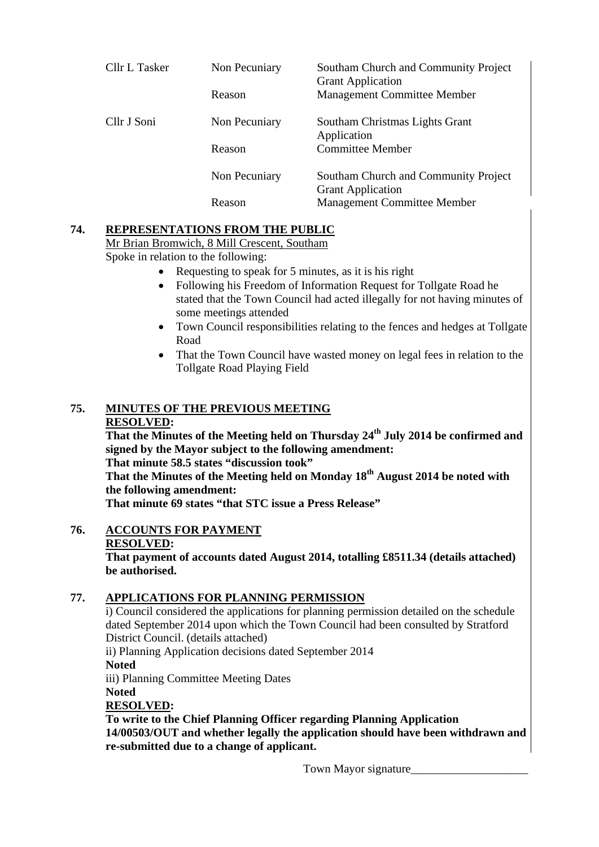| Cllr L Tasker | Non Pecuniary | Southam Church and Community Project<br><b>Grant Application</b> |
|---------------|---------------|------------------------------------------------------------------|
|               | Reason        | <b>Management Committee Member</b>                               |
| Cllr J Soni   | Non Pecuniary | Southam Christmas Lights Grant<br>Application                    |
|               | Reason        | <b>Committee Member</b>                                          |
|               | Non Pecuniary | Southam Church and Community Project<br><b>Grant Application</b> |
|               | Reason        | <b>Management Committee Member</b>                               |

# **74. REPRESENTATIONS FROM THE PUBLIC**

Mr Brian Bromwich, 8 Mill Crescent, Southam

Spoke in relation to the following:

- Requesting to speak for 5 minutes, as it is his right
- Following his Freedom of Information Request for Tollgate Road he stated that the Town Council had acted illegally for not having minutes of some meetings attended
- Town Council responsibilities relating to the fences and hedges at Tollgate Road
- That the Town Council have wasted money on legal fees in relation to the Tollgate Road Playing Field

# **75. MINUTES OF THE PREVIOUS MEETING**

#### **RESOLVED:**

**That the Minutes of the Meeting held on Thursday 24th July 2014 be confirmed and signed by the Mayor subject to the following amendment: That minute 58.5 states "discussion took"** 

That the Minutes of the Meeting held on Monday 18<sup>th</sup> August 2014 be noted with **the following amendment:** 

**That minute 69 states "that STC issue a Press Release"** 

# **76. ACCOUNTS FOR PAYMENT**

#### **RESOLVED:**

**That payment of accounts dated August 2014, totalling £8511.34 (details attached) be authorised.** 

# **77. APPLICATIONS FOR PLANNING PERMISSION**

i) Council considered the applications for planning permission detailed on the schedule dated September 2014 upon which the Town Council had been consulted by Stratford District Council. (details attached)

ii) Planning Application decisions dated September 2014 **Noted** iii) Planning Committee Meeting Dates **Noted RESOLVED:** 

 **To write to the Chief Planning Officer regarding Planning Application 14/00503/OUT and whether legally the application should have been withdrawn and re-submitted due to a change of applicant.**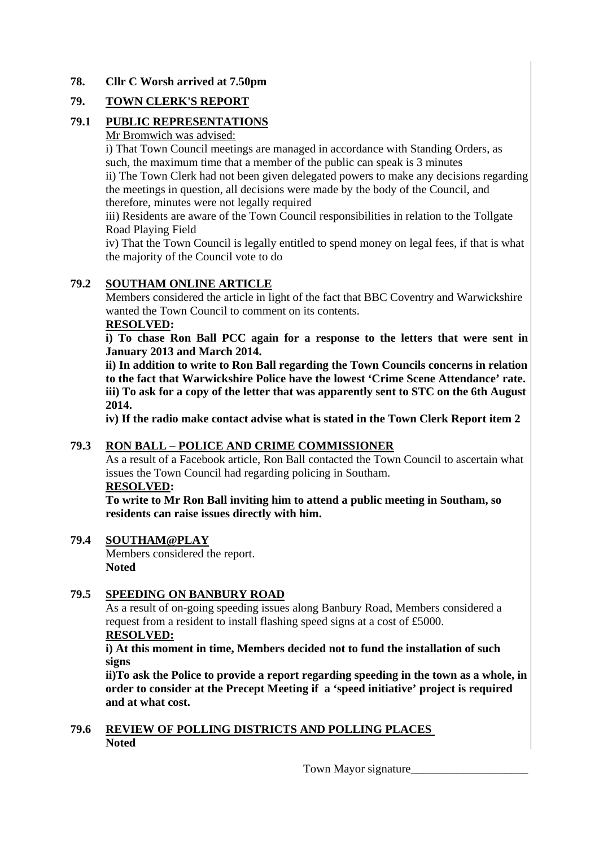#### **78. Cllr C Worsh arrived at 7.50pm**

### **79. TOWN CLERK'S REPORT**

### **79.1 PUBLIC REPRESENTATIONS**

#### Mr Bromwich was advised:

i) That Town Council meetings are managed in accordance with Standing Orders, as such, the maximum time that a member of the public can speak is 3 minutes ii) The Town Clerk had not been given delegated powers to make any decisions regarding the meetings in question, all decisions were made by the body of the Council, and therefore, minutes were not legally required

iii) Residents are aware of the Town Council responsibilities in relation to the Tollgate Road Playing Field

iv) That the Town Council is legally entitled to spend money on legal fees, if that is what the majority of the Council vote to do

#### **79.2 SOUTHAM ONLINE ARTICLE**

Members considered the article in light of the fact that BBC Coventry and Warwickshire wanted the Town Council to comment on its contents.

#### **RESOLVED:**

**i) To chase Ron Ball PCC again for a response to the letters that were sent in January 2013 and March 2014.** 

**ii) In addition to write to Ron Ball regarding the Town Councils concerns in relation to the fact that Warwickshire Police have the lowest 'Crime Scene Attendance' rate. iii) To ask for a copy of the letter that was apparently sent to STC on the 6th August 2014.** 

**iv) If the radio make contact advise what is stated in the Town Clerk Report item 2** 

# **79.3 RON BALL – POLICE AND CRIME COMMISSIONER**

As a result of a Facebook article, Ron Ball contacted the Town Council to ascertain what issues the Town Council had regarding policing in Southam.

#### **RESOLVED:**

**To write to Mr Ron Ball inviting him to attend a public meeting in Southam, so residents can raise issues directly with him.** 

#### **79.4 SOUTHAM@PLAY**

Members considered the report. **Noted** 

# **79.5 SPEEDING ON BANBURY ROAD**

As a result of on-going speeding issues along Banbury Road, Members considered a request from a resident to install flashing speed signs at a cost of £5000.

#### **RESOLVED:**

 **i) At this moment in time, Members decided not to fund the installation of such signs** 

 **ii)To ask the Police to provide a report regarding speeding in the town as a whole, in order to consider at the Precept Meeting if a 'speed initiative' project is required and at what cost.** 

#### **79.6 REVIEW OF POLLING DISTRICTS AND POLLING PLACES Noted**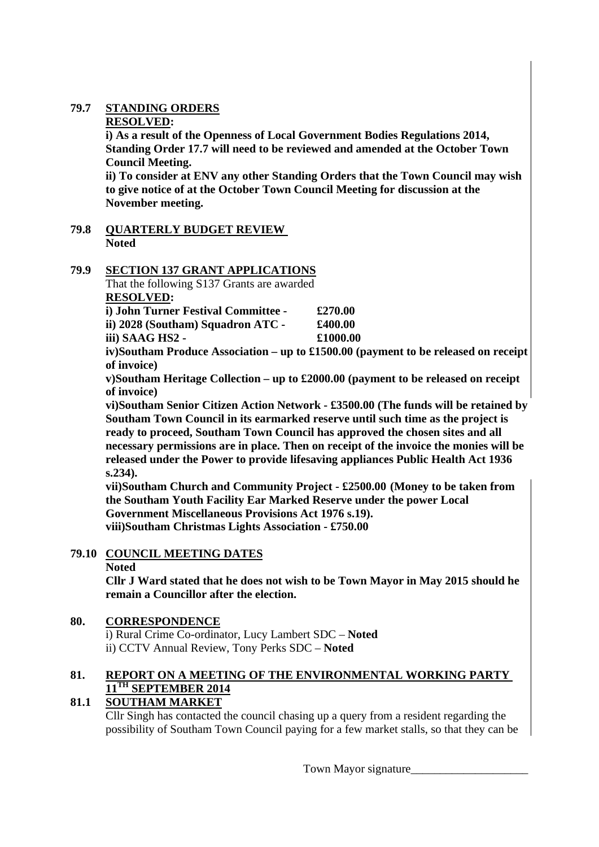# **79.7 STANDING ORDERS**

#### **RESOLVED:**

 **i) As a result of the Openness of Local Government Bodies Regulations 2014, Standing Order 17.7 will need to be reviewed and amended at the October Town Council Meeting.** 

 **ii) To consider at ENV any other Standing Orders that the Town Council may wish to give notice of at the October Town Council Meeting for discussion at the November meeting.** 

**79.8 QUARTERLY BUDGET REVIEW Noted** 

# **79.9 SECTION 137 GRANT APPLICATIONS**

That the following S137 Grants are awarded **RESOLVED:** 

 **i) John Turner Festival Committee - £270.00** 

 **ii) 2028 (Southam) Squadron ATC - £400.00** 

 **iii) SAAG HS2 - £1000.00** 

 **iv)Southam Produce Association – up to £1500.00 (payment to be released on receipt of invoice)** 

 **v)Southam Heritage Collection – up to £2000.00 (payment to be released on receipt of invoice)** 

**vi)Southam Senior Citizen Action Network - £3500.00 (The funds will be retained by Southam Town Council in its earmarked reserve until such time as the project is ready to proceed, Southam Town Council has approved the chosen sites and all necessary permissions are in place. Then on receipt of the invoice the monies will be released under the Power to provide lifesaving appliances Public Health Act 1936 s.234).** 

**vii)Southam Church and Community Project - £2500.00 (Money to be taken from the Southam Youth Facility Ear Marked Reserve under the power Local Government Miscellaneous Provisions Act 1976 s.19). viii)Southam Christmas Lights Association - £750.00** 

# **79.10 COUNCIL MEETING DATES**

 **Noted** 

 **Cllr J Ward stated that he does not wish to be Town Mayor in May 2015 should he remain a Councillor after the election.** 

# **80. CORRESPONDENCE**

i) Rural Crime Co-ordinator, Lucy Lambert SDC – **Noted**  ii) CCTV Annual Review, Tony Perks SDC – **Noted** 

# **81. REPORT ON A MEETING OF THE ENVIRONMENTAL WORKING PARTY 11TH SEPTEMBER 2014**

# **81.1 SOUTHAM MARKET**

Cllr Singh has contacted the council chasing up a query from a resident regarding the possibility of Southam Town Council paying for a few market stalls, so that they can be

Town Mayor signature\_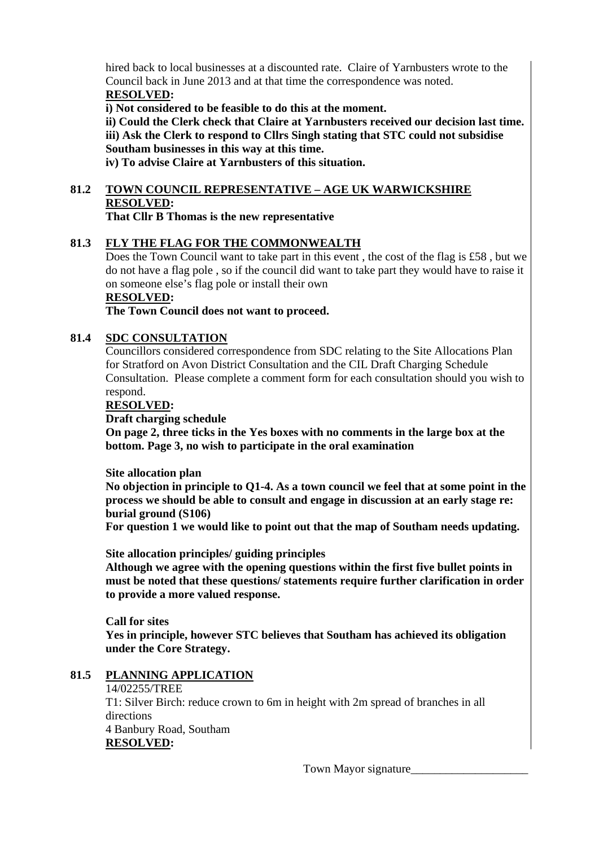hired back to local businesses at a discounted rate. Claire of Yarnbusters wrote to the Council back in June 2013 and at that time the correspondence was noted. **RESOLVED:** 

**i) Not considered to be feasible to do this at the moment.** 

**ii) Could the Clerk check that Claire at Yarnbusters received our decision last time. iii) Ask the Clerk to respond to Cllrs Singh stating that STC could not subsidise Southam businesses in this way at this time.** 

**iv) To advise Claire at Yarnbusters of this situation.** 

# **81.2 TOWN COUNCIL REPRESENTATIVE – AGE UK WARWICKSHIRE RESOLVED:**

**That Cllr B Thomas is the new representative** 

# **81.3 FLY THE FLAG FOR THE COMMONWEALTH**

Does the Town Council want to take part in this event, the cost of the flag is £58, but we do not have a flag pole , so if the council did want to take part they would have to raise it on someone else's flag pole or install their own

#### **RESOLVED:**

**The Town Council does not want to proceed.** 

#### **81.4 SDC CONSULTATION**

Councillors considered correspondence from SDC relating to the Site Allocations Plan for Stratford on Avon District Consultation and the CIL Draft Charging Schedule Consultation. Please complete a comment form for each consultation should you wish to respond.

**RESOLVED:** 

### **Draft charging schedule**

**On page 2, three ticks in the Yes boxes with no comments in the large box at the bottom. Page 3, no wish to participate in the oral examination** 

#### **Site allocation plan**

**No objection in principle to Q1-4. As a town council we feel that at some point in the process we should be able to consult and engage in discussion at an early stage re: burial ground (S106)** 

**For question 1 we would like to point out that the map of Southam needs updating.** 

**Site allocation principles/ guiding principles** 

**Although we agree with the opening questions within the first five bullet points in must be noted that these questions/ statements require further clarification in order to provide a more valued response.** 

**Call for sites Yes in principle, however STC believes that Southam has achieved its obligation under the Core Strategy.** 

#### **81.5 PLANNING APPLICATION**

#### 14/02255/TREE

T1: Silver Birch: reduce crown to 6m in height with 2m spread of branches in all directions 4 Banbury Road, Southam

**RESOLVED:**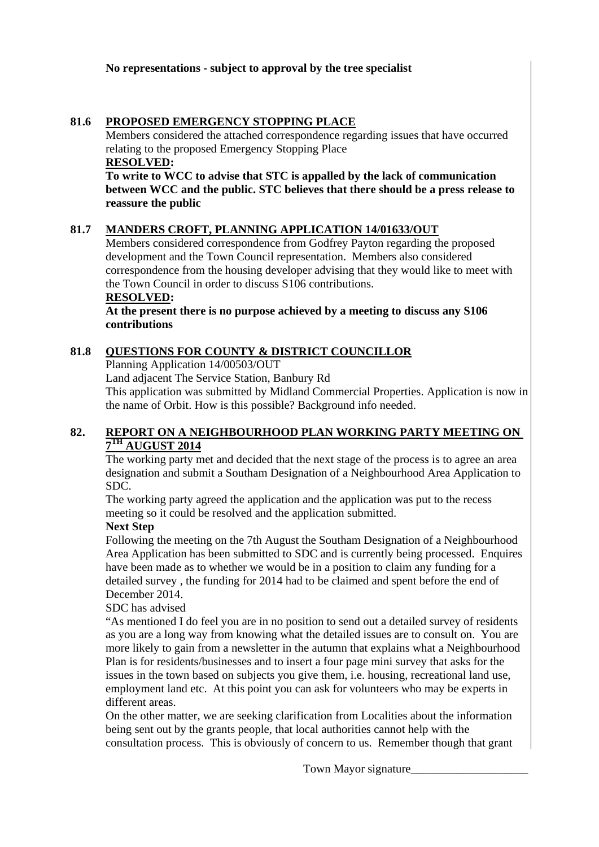#### **81.6 PROPOSED EMERGENCY STOPPING PLACE**

Members considered the attached correspondence regarding issues that have occurred relating to the proposed Emergency Stopping Place

**RESOLVED: To write to WCC to advise that STC is appalled by the lack of communication between WCC and the public. STC believes that there should be a press release to reassure the public** 

# **81.7 MANDERS CROFT, PLANNING APPLICATION 14/01633/OUT**

Members considered correspondence from Godfrey Payton regarding the proposed development and the Town Council representation. Members also considered correspondence from the housing developer advising that they would like to meet with the Town Council in order to discuss S106 contributions.

**RESOLVED:** 

**At the present there is no purpose achieved by a meeting to discuss any S106 contributions** 

# **81.8 QUESTIONS FOR COUNTY & DISTRICT COUNCILLOR**

Planning Application 14/00503/OUT

Land adjacent The Service Station, Banbury Rd

This application was submitted by Midland Commercial Properties. Application is now in the name of Orbit. How is this possible? Background info needed.

# **82. REPORT ON A NEIGHBOURHOOD PLAN WORKING PARTY MEETING ON 7TH AUGUST 2014**

The working party met and decided that the next stage of the process is to agree an area designation and submit a Southam Designation of a Neighbourhood Area Application to SDC.

The working party agreed the application and the application was put to the recess meeting so it could be resolved and the application submitted.

# **Next Step**

Following the meeting on the 7th August the Southam Designation of a Neighbourhood Area Application has been submitted to SDC and is currently being processed. Enquires have been made as to whether we would be in a position to claim any funding for a detailed survey , the funding for 2014 had to be claimed and spent before the end of December 2014.

#### SDC has advised

 "As mentioned I do feel you are in no position to send out a detailed survey of residents as you are a long way from knowing what the detailed issues are to consult on. You are more likely to gain from a newsletter in the autumn that explains what a Neighbourhood Plan is for residents/businesses and to insert a four page mini survey that asks for the issues in the town based on subjects you give them, i.e. housing, recreational land use, employment land etc. At this point you can ask for volunteers who may be experts in different areas.

On the other matter, we are seeking clarification from Localities about the information being sent out by the grants people, that local authorities cannot help with the consultation process. This is obviously of concern to us. Remember though that grant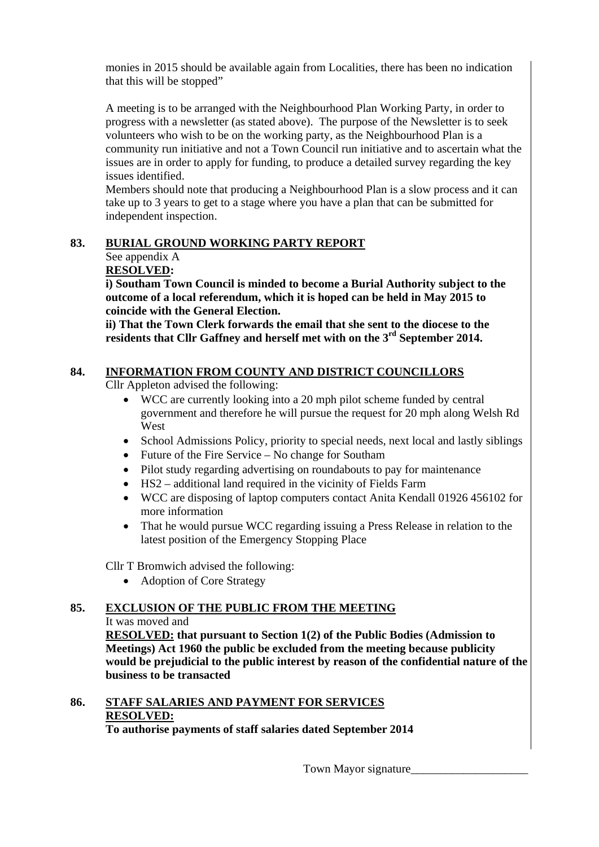monies in 2015 should be available again from Localities, there has been no indication that this will be stopped"

A meeting is to be arranged with the Neighbourhood Plan Working Party, in order to progress with a newsletter (as stated above). The purpose of the Newsletter is to seek volunteers who wish to be on the working party, as the Neighbourhood Plan is a community run initiative and not a Town Council run initiative and to ascertain what the issues are in order to apply for funding, to produce a detailed survey regarding the key issues identified.

Members should note that producing a Neighbourhood Plan is a slow process and it can take up to 3 years to get to a stage where you have a plan that can be submitted for independent inspection.

# **83. BURIAL GROUND WORKING PARTY REPORT**

# See appendix A

# **RESOLVED:**

 **i) Southam Town Council is minded to become a Burial Authority subject to the outcome of a local referendum, which it is hoped can be held in May 2015 to coincide with the General Election.** 

 **ii) That the Town Clerk forwards the email that she sent to the diocese to the residents that Cllr Gaffney and herself met with on the 3rd September 2014.** 

# **84. INFORMATION FROM COUNTY AND DISTRICT COUNCILLORS**

Cllr Appleton advised the following:

- WCC are currently looking into a 20 mph pilot scheme funded by central government and therefore he will pursue the request for 20 mph along Welsh Rd West
- School Admissions Policy, priority to special needs, next local and lastly siblings
- Future of the Fire Service No change for Southam
- Pilot study regarding advertising on roundabouts to pay for maintenance
- HS2 additional land required in the vicinity of Fields Farm
- WCC are disposing of laptop computers contact Anita Kendall 01926 456102 for more information
- That he would pursue WCC regarding issuing a Press Release in relation to the latest position of the Emergency Stopping Place

Cllr T Bromwich advised the following:

• Adoption of Core Strategy

# **85. EXCLUSION OF THE PUBLIC FROM THE MEETING**

# It was moved and

**RESOLVED: that pursuant to Section 1(2) of the Public Bodies (Admission to Meetings) Act 1960 the public be excluded from the meeting because publicity would be prejudicial to the public interest by reason of the confidential nature of the business to be transacted** 

# **86. STAFF SALARIES AND PAYMENT FOR SERVICES RESOLVED:**

**To authorise payments of staff salaries dated September 2014**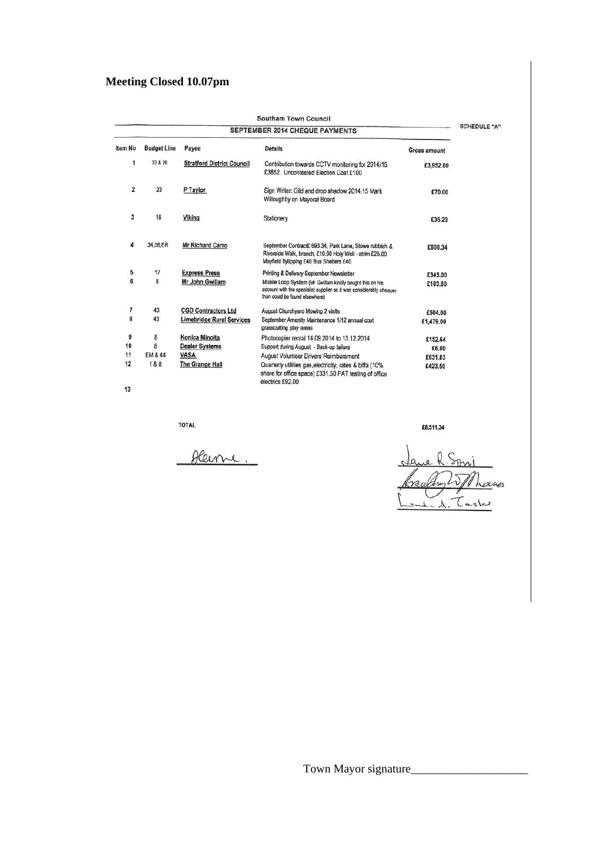# **Meeting Closed 10.07pm**

| Southam Town Council<br>SEPTEMBER 2014 CHEQUE PAYMENTS   |          |                                   |                                                                                                                                                                   |              |  |  |  |  |
|----------------------------------------------------------|----------|-----------------------------------|-------------------------------------------------------------------------------------------------------------------------------------------------------------------|--------------|--|--|--|--|
| Item No<br><b>Budget Line</b><br>Payee<br><b>Details</b> |          |                                   |                                                                                                                                                                   |              |  |  |  |  |
|                                                          |          |                                   |                                                                                                                                                                   | Gross amount |  |  |  |  |
| 1                                                        | 33 & 26  | <b>Stratford District Council</b> | Contribution towards CCTV monitoring for 2014/15<br>£3852. Uncontested Election Cost £100                                                                         | £3,952.00    |  |  |  |  |
| 2                                                        | 23       | P Taylor                          | Sign Writer: Gild and drop shadow 2014.15 Mark<br>Willoughby on Mayoral Board                                                                                     | £70.00       |  |  |  |  |
| 3                                                        | 18       | Viking                            | Stationery                                                                                                                                                        | £35.23       |  |  |  |  |
| 4                                                        | 34,36,ER | <b>Mr Richard Carro</b>           | September Contract£ 693.34, Park Lane, Stowe rubbish &<br>Riverside Walk, branch, £10.00 Holy Well - strim £25.00<br>Mayfield flytipping £40 Bus Shelters £40     | £808.34      |  |  |  |  |
| 5                                                        | 17       | <b>Express Press</b>              | Printing & Delivery September Newsletter                                                                                                                          | £345.00      |  |  |  |  |
| 6                                                        | 8        | Mr John Gwillam                   | Mobile Loop System (Mr Gwillam kindly bought this on his<br>account with the specialist supplier as it was considerably cheaper<br>than could be found elsewhere) | £103.80      |  |  |  |  |
| 7                                                        | 43       | <b>CGD Contractors Ltd</b>        | August Churchyard Mowing 2 visits                                                                                                                                 | £504.00      |  |  |  |  |
| 8                                                        | 43       | Limebridge Rural Services         | September Amenity Maintenance 1/12 annual cost<br>grasscutting play areas                                                                                         | £1,479.00    |  |  |  |  |
| 9                                                        | 8        | Konica Minolta                    | Photocopier rental 14.09.2014 to 13.12.2014                                                                                                                       | £152.64      |  |  |  |  |
| 10                                                       | 8        | <b>Dealer Systems</b>             | Support during August - Back-up failure                                                                                                                           | £6.00        |  |  |  |  |
| 11                                                       | EM & 44  | VASA                              | August Volunteer Drivers Reimbursment                                                                                                                             | £631.83      |  |  |  |  |
| 12                                                       | 1&8      | The Grange Hall                   | Quarterly utilities gas, electricity, rates & biffa (10%<br>share for office space) £331.50 PAT testing of office<br>electrics £92.00                             | £423.50      |  |  |  |  |
| 13                                                       |          |                                   |                                                                                                                                                                   |              |  |  |  |  |

**TOTAL** 

Aleine.

Ø  $M.A.$  Tasks

£8,511.34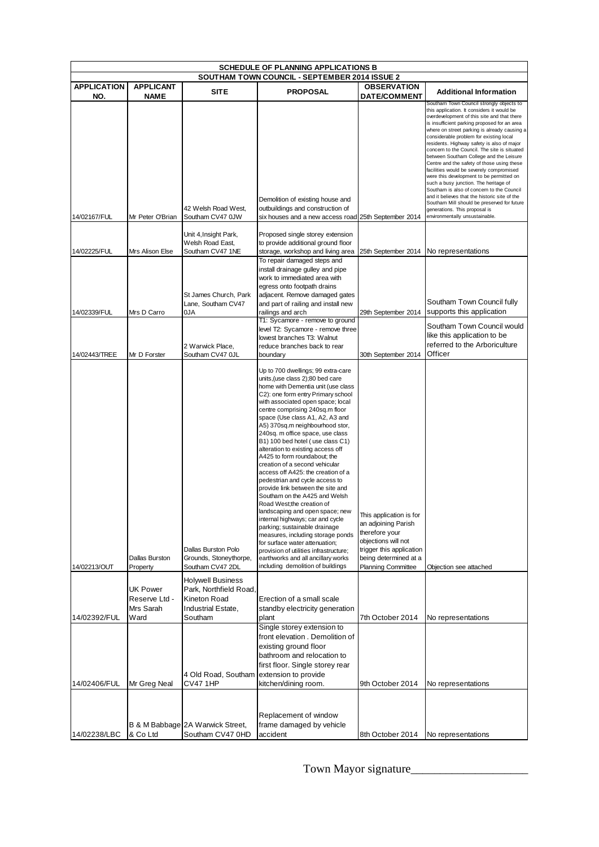| <b>SCHEDULE OF PLANNING APPLICATIONS B</b>                                                                    |                                        |                                                                                          |                                                                                                                                                                                                                                                                                                                                                                                                                                                                                                                                                                                                                                                                                                                                                                                                                                                                                                                                                                 |                                                                                                                                                                           |                                                                                                                                                                                                                                                                                                                                                                                                                                                                                                                                                                                                                                                                                                                                                                                                                          |  |
|---------------------------------------------------------------------------------------------------------------|----------------------------------------|------------------------------------------------------------------------------------------|-----------------------------------------------------------------------------------------------------------------------------------------------------------------------------------------------------------------------------------------------------------------------------------------------------------------------------------------------------------------------------------------------------------------------------------------------------------------------------------------------------------------------------------------------------------------------------------------------------------------------------------------------------------------------------------------------------------------------------------------------------------------------------------------------------------------------------------------------------------------------------------------------------------------------------------------------------------------|---------------------------------------------------------------------------------------------------------------------------------------------------------------------------|--------------------------------------------------------------------------------------------------------------------------------------------------------------------------------------------------------------------------------------------------------------------------------------------------------------------------------------------------------------------------------------------------------------------------------------------------------------------------------------------------------------------------------------------------------------------------------------------------------------------------------------------------------------------------------------------------------------------------------------------------------------------------------------------------------------------------|--|
| SOUTHAM TOWN COUNCIL - SEPTEMBER 2014 ISSUE 2<br><b>APPLICATION</b><br><b>APPLICANT</b><br><b>OBSERVATION</b> |                                        |                                                                                          |                                                                                                                                                                                                                                                                                                                                                                                                                                                                                                                                                                                                                                                                                                                                                                                                                                                                                                                                                                 |                                                                                                                                                                           |                                                                                                                                                                                                                                                                                                                                                                                                                                                                                                                                                                                                                                                                                                                                                                                                                          |  |
| NO.                                                                                                           | <b>NAME</b>                            | <b>SITE</b>                                                                              | <b>PROPOSAL</b>                                                                                                                                                                                                                                                                                                                                                                                                                                                                                                                                                                                                                                                                                                                                                                                                                                                                                                                                                 | <b>DATE/COMMENT</b>                                                                                                                                                       | <b>Additional Information</b>                                                                                                                                                                                                                                                                                                                                                                                                                                                                                                                                                                                                                                                                                                                                                                                            |  |
| 14/02167/FUL                                                                                                  | Mr Peter O'Brian                       | 42 Welsh Road West,<br>Southam CV47 0JW                                                  | Demolition of existing house and<br>outbuildings and construction of<br>six houses and a new access road 25th September 2014                                                                                                                                                                                                                                                                                                                                                                                                                                                                                                                                                                                                                                                                                                                                                                                                                                    |                                                                                                                                                                           | Southam Town Council strongly objects to<br>this application. It considers it would be<br>overdevelopment of this site and that there<br>is insufficient parking proposed for an area<br>where on street parking is already causing a<br>considerable problem for existing local<br>residents. Highway safety is also of major<br>concern to the Council. The site is situated<br>between Southam College and the Leisure<br>Centre and the safety of those using these<br>facilities would be severely compromised<br>were this development to be permitted on<br>such a busy junction. The heritage of<br>Southam is also of concern to the Council<br>and it believes that the historic site of the<br>Southam Mill should be preserved for future<br>generations. This proposal is<br>environmentally unsustainable. |  |
|                                                                                                               |                                        | Unit 4, Insight Park,                                                                    | Proposed single storey extension                                                                                                                                                                                                                                                                                                                                                                                                                                                                                                                                                                                                                                                                                                                                                                                                                                                                                                                                |                                                                                                                                                                           |                                                                                                                                                                                                                                                                                                                                                                                                                                                                                                                                                                                                                                                                                                                                                                                                                          |  |
| 14/02225/FUL                                                                                                  | Mrs Alison Else                        | Welsh Road East,<br>Southam CV47 1NE                                                     | to provide additional ground floor<br>storage, workshop and living area                                                                                                                                                                                                                                                                                                                                                                                                                                                                                                                                                                                                                                                                                                                                                                                                                                                                                         | 25th September 2014                                                                                                                                                       | No representations                                                                                                                                                                                                                                                                                                                                                                                                                                                                                                                                                                                                                                                                                                                                                                                                       |  |
| 14/02339/FUL                                                                                                  | Mrs D Carro                            | St James Church, Park<br>Lane, Southam CV47<br>0JA                                       | To repair damaged steps and<br>install drainage gulley and pipe<br>work to immediated area with<br>egress onto footpath drains<br>adjacent. Remove damaged gates<br>and part of railing and install new<br>railings and arch<br>T1: Sycamore - remove to ground                                                                                                                                                                                                                                                                                                                                                                                                                                                                                                                                                                                                                                                                                                 | 29th September 2014                                                                                                                                                       | Southam Town Council fully<br>supports this application                                                                                                                                                                                                                                                                                                                                                                                                                                                                                                                                                                                                                                                                                                                                                                  |  |
| 14/02443/TREE                                                                                                 | Mr D Forster                           | 2 Warwick Place.<br>Southam CV47 OJL                                                     | level T2: Sycamore - remove three<br>lowest branches T3: Walnut<br>reduce branches back to rear<br>boundary                                                                                                                                                                                                                                                                                                                                                                                                                                                                                                                                                                                                                                                                                                                                                                                                                                                     | 30th September 2014                                                                                                                                                       | Southam Town Council would<br>like this application to be<br>referred to the Arboriculture<br>Officer                                                                                                                                                                                                                                                                                                                                                                                                                                                                                                                                                                                                                                                                                                                    |  |
| 14/02213/OUT                                                                                                  | Dallas Burston<br>Property             | Dallas Burston Polo<br>Grounds, Stoneythorpe,<br>Southam CV47 2DL                        | Up to 700 dwellings; 99 extra-care<br>units, (use class 2); 80 bed care<br>home with Dementia unit (use class<br>C2): one form entry Primary school<br>with associated open space; local<br>centre comprising 240sq.m floor<br>space (Use class A1, A2, A3 and<br>A5) 370sq.m neighbourhood stor,<br>240sq. m office space, use class<br>B1) 100 bed hotel (use class C1)<br>alteration to existing access off<br>A425 to form roundabout; the<br>creation of a second vehicular<br>access off A425: the creation of a<br>pedestrian and cycle access to<br>provide link between the site and<br>Southam on the A425 and Welsh<br>Road West;the creation of<br>landscaping and open space; new<br>internal highways; car and cycle<br>parking; sustainable drainage<br>measures, including storage ponds<br>for surface water attenuation;<br>provision of utilities infrastructure;<br>earthworks and all ancillary works<br>including demolition of buildings | This application is for<br>an adjoining Parish<br>therefore your<br>objections will not<br>trigger this application<br>being determined at a<br><b>Planning Committee</b> | Objection see attached                                                                                                                                                                                                                                                                                                                                                                                                                                                                                                                                                                                                                                                                                                                                                                                                   |  |
|                                                                                                               | UK Power<br>Reserve Ltd -<br>Mrs Sarah | <b>Holywell Business</b><br>Park, Northfield Road,<br>Kineton Road<br>Industrial Estate, | Erection of a small scale<br>standby electricity generation                                                                                                                                                                                                                                                                                                                                                                                                                                                                                                                                                                                                                                                                                                                                                                                                                                                                                                     |                                                                                                                                                                           |                                                                                                                                                                                                                                                                                                                                                                                                                                                                                                                                                                                                                                                                                                                                                                                                                          |  |
| 14/02392/FUL                                                                                                  | Ward                                   | Southam                                                                                  | plant                                                                                                                                                                                                                                                                                                                                                                                                                                                                                                                                                                                                                                                                                                                                                                                                                                                                                                                                                           | 7th October 2014                                                                                                                                                          | No representations                                                                                                                                                                                                                                                                                                                                                                                                                                                                                                                                                                                                                                                                                                                                                                                                       |  |
| 14/02406/FUL                                                                                                  | Mr Greg Neal                           | 4 Old Road, Southam<br><b>CV47 1HP</b>                                                   | Single storey extension to<br>front elevation . Demolition of<br>existing ground floor<br>bathroom and relocation to<br>first floor. Single storey rear<br>extension to provide<br>kitchen/dining room.                                                                                                                                                                                                                                                                                                                                                                                                                                                                                                                                                                                                                                                                                                                                                         | 9th October 2014                                                                                                                                                          | No representations                                                                                                                                                                                                                                                                                                                                                                                                                                                                                                                                                                                                                                                                                                                                                                                                       |  |
| 14/02238/LBC                                                                                                  | & Co Ltd                               | B & M Babbage 2A Warwick Street,<br>Southam CV47 0HD                                     | Replacement of window<br>frame damaged by vehicle<br>accident                                                                                                                                                                                                                                                                                                                                                                                                                                                                                                                                                                                                                                                                                                                                                                                                                                                                                                   | 8th October 2014                                                                                                                                                          | No representations                                                                                                                                                                                                                                                                                                                                                                                                                                                                                                                                                                                                                                                                                                                                                                                                       |  |